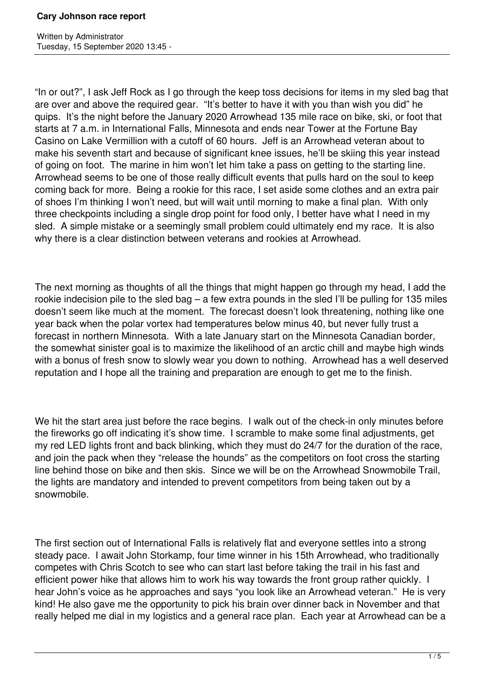Written by Administrator Tuesday, 15 September 2020 13:45 -

"In or out?", I ask Jeff Rock as I go through the keep toss decisions for items in my sled bag that are over and above the required gear. "It's better to have it with you than wish you did" he quips. It's the night before the January 2020 Arrowhead 135 mile race on bike, ski, or foot that starts at 7 a.m. in International Falls, Minnesota and ends near Tower at the Fortune Bay Casino on Lake Vermillion with a cutoff of 60 hours. Jeff is an Arrowhead veteran about to make his seventh start and because of significant knee issues, he'll be skiing this year instead of going on foot. The marine in him won't let him take a pass on getting to the starting line. Arrowhead seems to be one of those really difficult events that pulls hard on the soul to keep coming back for more. Being a rookie for this race, I set aside some clothes and an extra pair of shoes I'm thinking I won't need, but will wait until morning to make a final plan. With only three checkpoints including a single drop point for food only, I better have what I need in my sled. A simple mistake or a seemingly small problem could ultimately end my race. It is also why there is a clear distinction between veterans and rookies at Arrowhead.

The next morning as thoughts of all the things that might happen go through my head, I add the rookie indecision pile to the sled bag – a few extra pounds in the sled I'll be pulling for 135 miles doesn't seem like much at the moment. The forecast doesn't look threatening, nothing like one year back when the polar vortex had temperatures below minus 40, but never fully trust a forecast in northern Minnesota. With a late January start on the Minnesota Canadian border, the somewhat sinister goal is to maximize the likelihood of an arctic chill and maybe high winds with a bonus of fresh snow to slowly wear you down to nothing. Arrowhead has a well deserved reputation and I hope all the training and preparation are enough to get me to the finish.

We hit the start area just before the race begins. I walk out of the check-in only minutes before the fireworks go off indicating it's show time. I scramble to make some final adjustments, get my red LED lights front and back blinking, which they must do 24/7 for the duration of the race, and join the pack when they "release the hounds" as the competitors on foot cross the starting line behind those on bike and then skis. Since we will be on the Arrowhead Snowmobile Trail, the lights are mandatory and intended to prevent competitors from being taken out by a snowmobile.

The first section out of International Falls is relatively flat and everyone settles into a strong steady pace. I await John Storkamp, four time winner in his 15th Arrowhead, who traditionally competes with Chris Scotch to see who can start last before taking the trail in his fast and efficient power hike that allows him to work his way towards the front group rather quickly. I hear John's voice as he approaches and says "you look like an Arrowhead veteran." He is very kind! He also gave me the opportunity to pick his brain over dinner back in November and that really helped me dial in my logistics and a general race plan. Each year at Arrowhead can be a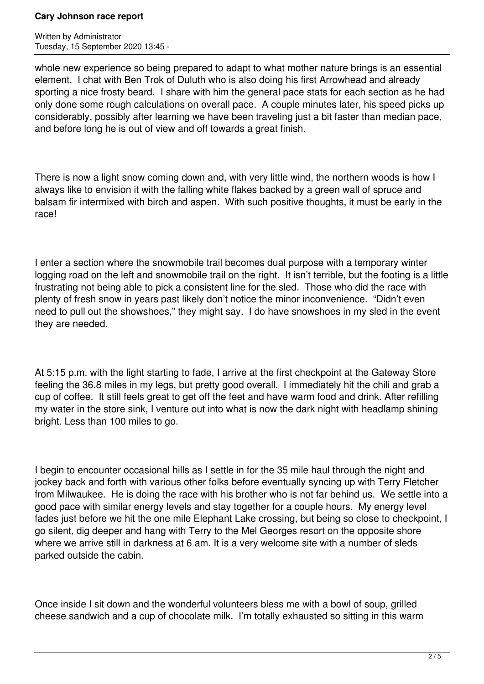Written by Administrator Tuesday, 15 September 2020 13:45 -

whole new experience so being prepared to adapt to what mother nature brings is an essential element. I chat with Ben Trok of Duluth who is also doing his first Arrowhead and already sporting a nice frosty beard. I share with him the general pace stats for each section as he had only done some rough calculations on overall pace. A couple minutes later, his speed picks up considerably, possibly after learning we have been traveling just a bit faster than median pace, and before long he is out of view and off towards a great finish.

There is now a light snow coming down and, with very little wind, the northern woods is how I always like to envision it with the falling white flakes backed by a green wall of spruce and balsam fir intermixed with birch and aspen. With such positive thoughts, it must be early in the race!

I enter a section where the snowmobile trail becomes dual purpose with a temporary winter logging road on the left and snowmobile trail on the right. It isn't terrible, but the footing is a little frustrating not being able to pick a consistent line for the sled. Those who did the race with plenty of fresh snow in years past likely don't notice the minor inconvenience. "Didn't even need to pull out the showshoes," they might say. I do have snowshoes in my sled in the event they are needed.

At 5:15 p.m. with the light starting to fade, I arrive at the first checkpoint at the Gateway Store feeling the 36.8 miles in my legs, but pretty good overall. I immediately hit the chili and grab a cup of coffee. It still feels great to get off the feet and have warm food and drink. After refilling my water in the store sink, I venture out into what is now the dark night with headlamp shining bright. Less than 100 miles to go.

I begin to encounter occasional hills as I settle in for the 35 mile haul through the night and jockey back and forth with various other folks before eventually syncing up with Terry Fletcher from Milwaukee. He is doing the race with his brother who is not far behind us. We settle into a good pace with similar energy levels and stay together for a couple hours. My energy level fades just before we hit the one mile Elephant Lake crossing, but being so close to checkpoint, I go silent, dig deeper and hang with Terry to the Mel Georges resort on the opposite shore where we arrive still in darkness at 6 am. It is a very welcome site with a number of sleds parked outside the cabin.

Once inside I sit down and the wonderful volunteers bless me with a bowl of soup, grilled cheese sandwich and a cup of chocolate milk. I'm totally exhausted so sitting in this warm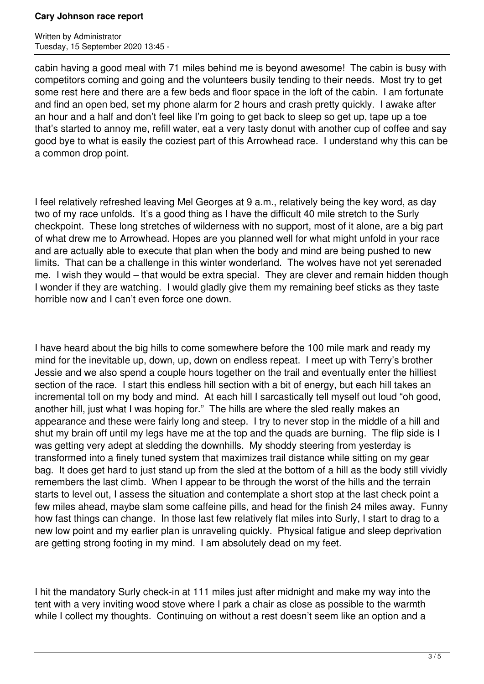Written by Administrator Tuesday, 15 September 2020 13:45 -

cabin having a good meal with 71 miles behind me is beyond awesome! The cabin is busy with competitors coming and going and the volunteers busily tending to their needs. Most try to get some rest here and there are a few beds and floor space in the loft of the cabin. I am fortunate and find an open bed, set my phone alarm for 2 hours and crash pretty quickly. I awake after an hour and a half and don't feel like I'm going to get back to sleep so get up, tape up a toe that's started to annoy me, refill water, eat a very tasty donut with another cup of coffee and say good bye to what is easily the coziest part of this Arrowhead race. I understand why this can be a common drop point.

I feel relatively refreshed leaving Mel Georges at 9 a.m., relatively being the key word, as day two of my race unfolds. It's a good thing as I have the difficult 40 mile stretch to the Surly checkpoint. These long stretches of wilderness with no support, most of it alone, are a big part of what drew me to Arrowhead. Hopes are you planned well for what might unfold in your race and are actually able to execute that plan when the body and mind are being pushed to new limits. That can be a challenge in this winter wonderland. The wolves have not yet serenaded me. I wish they would – that would be extra special. They are clever and remain hidden though I wonder if they are watching. I would gladly give them my remaining beef sticks as they taste horrible now and I can't even force one down.

I have heard about the big hills to come somewhere before the 100 mile mark and ready my mind for the inevitable up, down, up, down on endless repeat. I meet up with Terry's brother Jessie and we also spend a couple hours together on the trail and eventually enter the hilliest section of the race. I start this endless hill section with a bit of energy, but each hill takes an incremental toll on my body and mind. At each hill I sarcastically tell myself out loud "oh good, another hill, just what I was hoping for." The hills are where the sled really makes an appearance and these were fairly long and steep. I try to never stop in the middle of a hill and shut my brain off until my legs have me at the top and the quads are burning. The flip side is I was getting very adept at sledding the downhills. My shoddy steering from yesterday is transformed into a finely tuned system that maximizes trail distance while sitting on my gear bag. It does get hard to just stand up from the sled at the bottom of a hill as the body still vividly remembers the last climb. When I appear to be through the worst of the hills and the terrain starts to level out, I assess the situation and contemplate a short stop at the last check point a few miles ahead, maybe slam some caffeine pills, and head for the finish 24 miles away. Funny how fast things can change. In those last few relatively flat miles into Surly, I start to drag to a new low point and my earlier plan is unraveling quickly. Physical fatigue and sleep deprivation are getting strong footing in my mind. I am absolutely dead on my feet.

I hit the mandatory Surly check-in at 111 miles just after midnight and make my way into the tent with a very inviting wood stove where I park a chair as close as possible to the warmth while I collect my thoughts. Continuing on without a rest doesn't seem like an option and a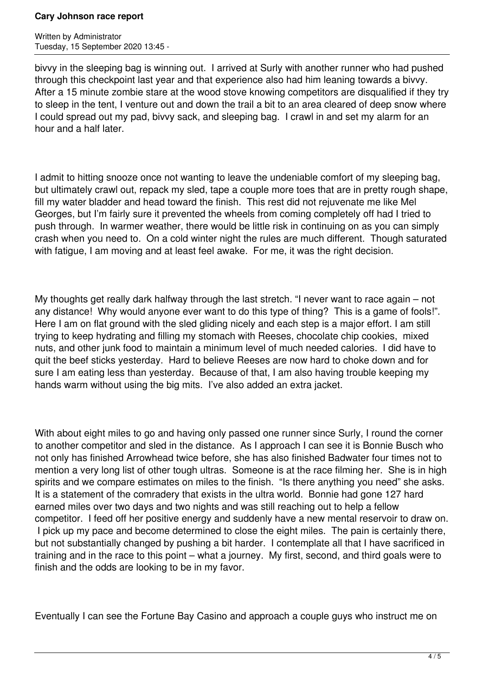Written by Administrator Tuesday, 15 September 2020 13:45 -

bivvy in the sleeping bag is winning out. I arrived at Surly with another runner who had pushed through this checkpoint last year and that experience also had him leaning towards a bivvy. After a 15 minute zombie stare at the wood stove knowing competitors are disqualified if they try to sleep in the tent, I venture out and down the trail a bit to an area cleared of deep snow where I could spread out my pad, bivvy sack, and sleeping bag. I crawl in and set my alarm for an hour and a half later.

I admit to hitting snooze once not wanting to leave the undeniable comfort of my sleeping bag, but ultimately crawl out, repack my sled, tape a couple more toes that are in pretty rough shape, fill my water bladder and head toward the finish. This rest did not rejuvenate me like Mel Georges, but I'm fairly sure it prevented the wheels from coming completely off had I tried to push through. In warmer weather, there would be little risk in continuing on as you can simply crash when you need to. On a cold winter night the rules are much different. Though saturated with fatigue, I am moving and at least feel awake. For me, it was the right decision.

My thoughts get really dark halfway through the last stretch. "I never want to race again – not any distance! Why would anyone ever want to do this type of thing? This is a game of fools!". Here I am on flat ground with the sled gliding nicely and each step is a major effort. I am still trying to keep hydrating and filling my stomach with Reeses, chocolate chip cookies, mixed nuts, and other junk food to maintain a minimum level of much needed calories. I did have to quit the beef sticks yesterday. Hard to believe Reeses are now hard to choke down and for sure I am eating less than yesterday. Because of that, I am also having trouble keeping my hands warm without using the big mits. I've also added an extra jacket.

With about eight miles to go and having only passed one runner since Surly, I round the corner to another competitor and sled in the distance. As I approach I can see it is Bonnie Busch who not only has finished Arrowhead twice before, she has also finished Badwater four times not to mention a very long list of other tough ultras. Someone is at the race filming her. She is in high spirits and we compare estimates on miles to the finish. "Is there anything you need" she asks. It is a statement of the comradery that exists in the ultra world. Bonnie had gone 127 hard earned miles over two days and two nights and was still reaching out to help a fellow competitor. I feed off her positive energy and suddenly have a new mental reservoir to draw on. I pick up my pace and become determined to close the eight miles. The pain is certainly there, but not substantially changed by pushing a bit harder. I contemplate all that I have sacrificed in training and in the race to this point – what a journey. My first, second, and third goals were to finish and the odds are looking to be in my favor.

Eventually I can see the Fortune Bay Casino and approach a couple guys who instruct me on